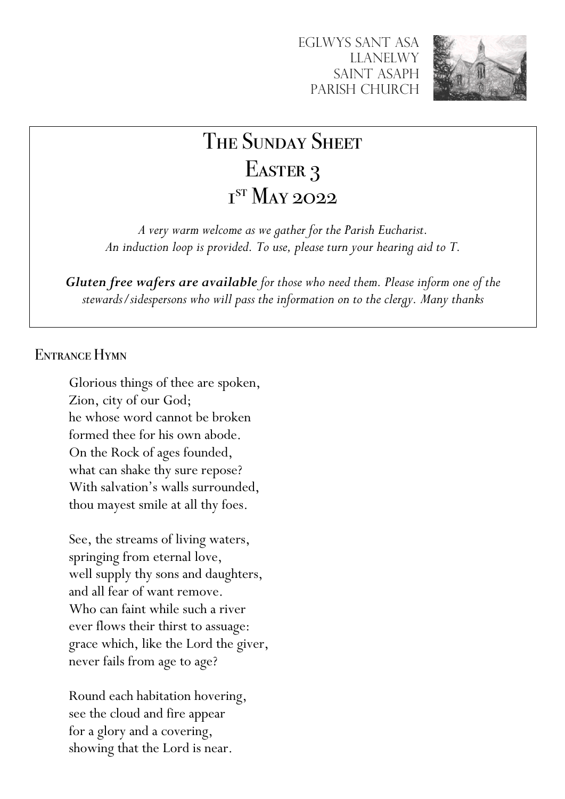

# THE SUNDAY SHEET EASTER 3 I<sup>st</sup> May 2022

*A very warm welcome as we gather for the Parish Eucharist. An induction loop is provided. To use, please turn your hearing aid to T.*

*Gluten free wafers are available for those who need them. Please inform one of the stewards/sidespersons who will pass the information on to the clergy. Many thanks*

#### ENTRANCE HYMN

Glorious things of thee are spoken, Zion, city of our God; he whose word cannot be broken formed thee for his own abode. On the Rock of ages founded, what can shake thy sure repose? With salvation's walls surrounded, thou mayest smile at all thy foes.

See, the streams of living waters, springing from eternal love, well supply thy sons and daughters, and all fear of want remove. Who can faint while such a river ever flows their thirst to assuage: grace which, like the Lord the giver, never fails from age to age?

Round each habitation hovering, see the cloud and fire appear for a glory and a covering, showing that the Lord is near.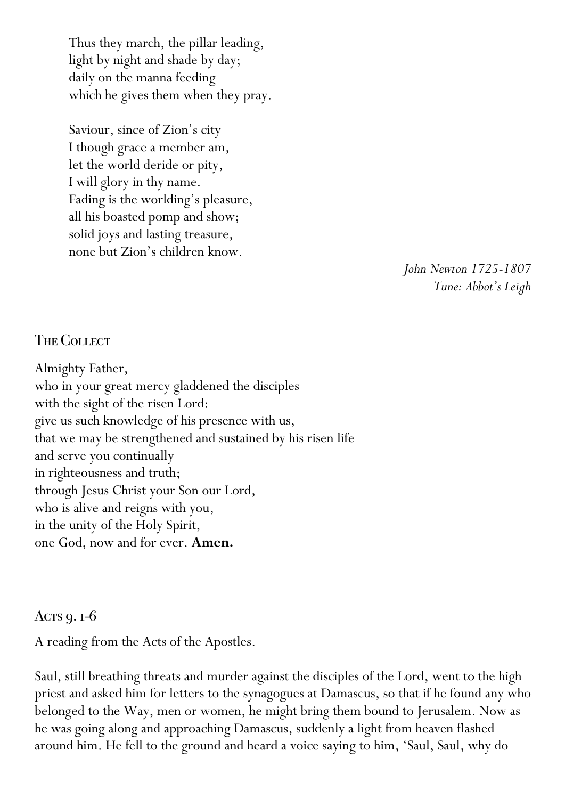Thus they march, the pillar leading, light by night and shade by day; daily on the manna feeding which he gives them when they pray.

Saviour, since of Zion's city I though grace a member am, let the world deride or pity, I will glory in thy name. Fading is the worlding's pleasure, all his boasted pomp and show; solid joys and lasting treasure, none but Zion's children know.

> *John Newton 1725-1807 Tune: Abbot's Leigh*

#### THE COLLECT

Almighty Father, who in your great mercy gladdened the disciples with the sight of the risen Lord: give us such knowledge of his presence with us, that we may be strengthened and sustained by his risen life and serve you continually in righteousness and truth; through Jesus Christ your Son our Lord, who is alive and reigns with you, in the unity of the Holy Spirit, one God, now and for ever. **Amen.**

Acts 9.1-6

A reading from the Acts of the Apostles.

Saul, still breathing threats and murder against the disciples of the Lord, went to the high priest and asked him for letters to the synagogues at Damascus, so that if he found any who belonged to the Way, men or women, he might bring them bound to Jerusalem. Now as he was going along and approaching Damascus, suddenly a light from heaven flashed around him. He fell to the ground and heard a voice saying to him, 'Saul, Saul, why do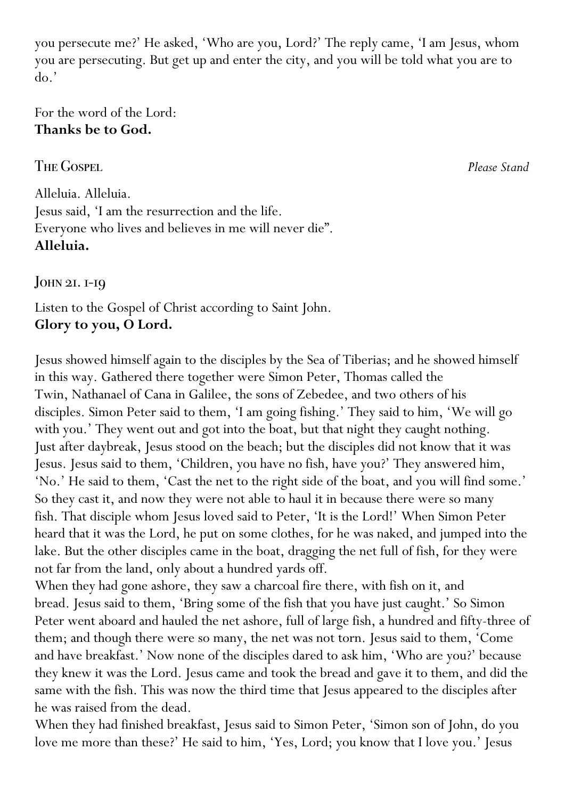you persecute me?' He asked, 'Who are you, Lord?' The reply came, 'I am Jesus, whom you are persecuting. But get up and enter the city, and you will be told what you are to do.'

#### For the word of the Lord: **Thanks be to God.**

The Gospel *Please Stand*

Alleluia. Alleluia. Jesus said, 'I am the resurrection and the life. Everyone who lives and believes in me will never die". **Alleluia.**

JOHN 21. I-19

Listen to the Gospel of Christ according to Saint John. **Glory to you, O Lord.**

Jesus showed himself again to the disciples by the Sea of Tiberias; and he showed himself in this way. Gathered there together were Simon Peter, Thomas called the Twin, Nathanael of Cana in Galilee, the sons of Zebedee, and two others of his disciples. Simon Peter said to them, 'I am going fishing.' They said to him, 'We will go with you.' They went out and got into the boat, but that night they caught nothing. Just after daybreak, Jesus stood on the beach; but the disciples did not know that it was Jesus. Jesus said to them, 'Children, you have no fish, have you?' They answered him, 'No.' He said to them, 'Cast the net to the right side of the boat, and you will find some.' So they cast it, and now they were not able to haul it in because there were so many fish. That disciple whom Jesus loved said to Peter, 'It is the Lord!' When Simon Peter heard that it was the Lord, he put on some clothes, for he was naked, and jumped into the lake. But the other disciples came in the boat, dragging the net full of fish, for they were not far from the land, only about a hundred yards off.

When they had gone ashore, they saw a charcoal fire there, with fish on it, and bread. Jesus said to them, 'Bring some of the fish that you have just caught.' So Simon Peter went aboard and hauled the net ashore, full of large fish, a hundred and fifty-three of them; and though there were so many, the net was not torn. Jesus said to them, 'Come and have breakfast.' Now none of the disciples dared to ask him, 'Who are you?' because they knew it was the Lord. Jesus came and took the bread and gave it to them, and did the same with the fish. This was now the third time that Jesus appeared to the disciples after he was raised from the dead.

When they had finished breakfast, Jesus said to Simon Peter, 'Simon son of John, do you love me more than these?' He said to him, 'Yes, Lord; you know that I love you.' Jesus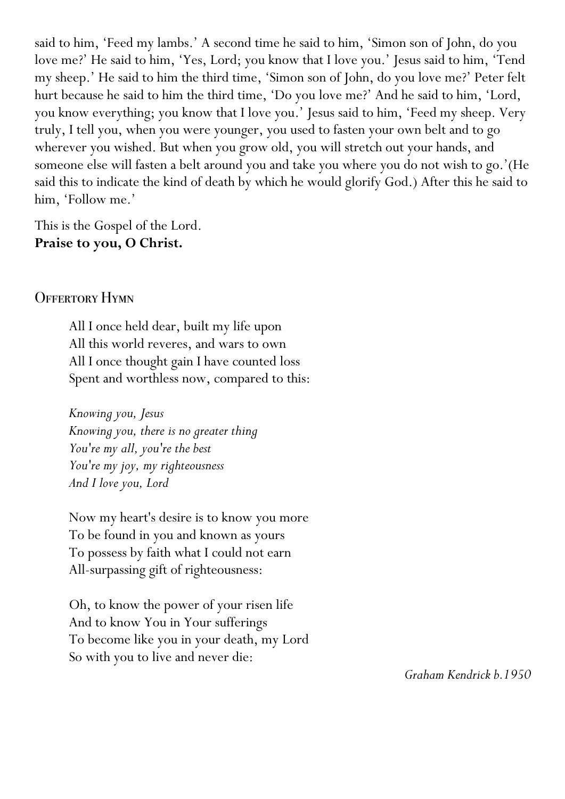said to him, 'Feed my lambs.' A second time he said to him, 'Simon son of John, do you love me?' He said to him, 'Yes, Lord; you know that I love you.' Jesus said to him, 'Tend my sheep.' He said to him the third time, 'Simon son of John, do you love me?' Peter felt hurt because he said to him the third time, 'Do you love me?' And he said to him, 'Lord, you know everything; you know that I love you.' Jesus said to him, 'Feed my sheep. Very truly, I tell you, when you were younger, you used to fasten your own belt and to go wherever you wished. But when you grow old, you will stretch out your hands, and someone else will fasten a belt around you and take you where you do not wish to go.'(He said this to indicate the kind of death by which he would glorify God.) After this he said to him, 'Follow me.'

This is the Gospel of the Lord. **Praise to you, O Christ.**

#### OFFERTORY HYMN

All I once held dear, built my life upon All this world reveres, and wars to own All I once thought gain I have counted loss Spent and worthless now, compared to this:

*Knowing you, Jesus Knowing you, there is no greater thing You're my all, you're the best You're my joy, my righteousness And I love you, Lord*

Now my heart's desire is to know you more To be found in you and known as yours To possess by faith what I could not earn All-surpassing gift of righteousness:

Oh, to know the power of your risen life And to know You in Your sufferings To become like you in your death, my Lord So with you to live and never die:

*Graham Kendrick b.1950*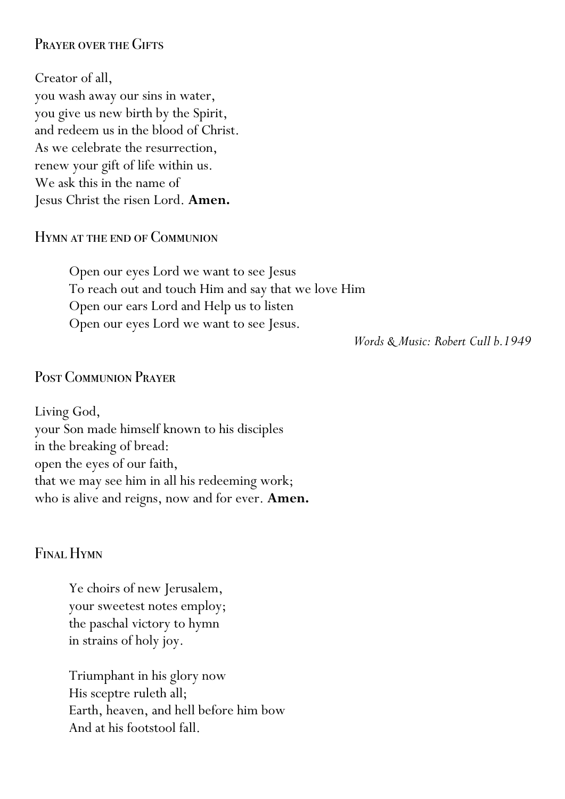#### PRAYER OVER THE GIFTS

Creator of all, you wash away our sins in water, you give us new birth by the Spirit, and redeem us in the blood of Christ. As we celebrate the resurrection, renew your gift of life within us. We ask this in the name of Jesus Christ the risen Lord. **Amen.**

#### Hymn at the end of Communion

Open our eyes Lord we want to see Jesus To reach out and touch Him and say that we love Him Open our ears Lord and Help us to listen Open our eyes Lord we want to see Jesus.

*Words & Music: Robert Cull b.1949*

#### Post Communion Prayer

Living God, your Son made himself known to his disciples in the breaking of bread: open the eyes of our faith, that we may see him in all his redeeming work; who is alive and reigns, now and for ever. **Amen.**

#### Final Hymn

Ye choirs of new Jerusalem, your sweetest notes employ; the paschal victory to hymn in strains of holy joy.

Triumphant in his glory now His sceptre ruleth all; Earth, heaven, and hell before him bow And at his footstool fall.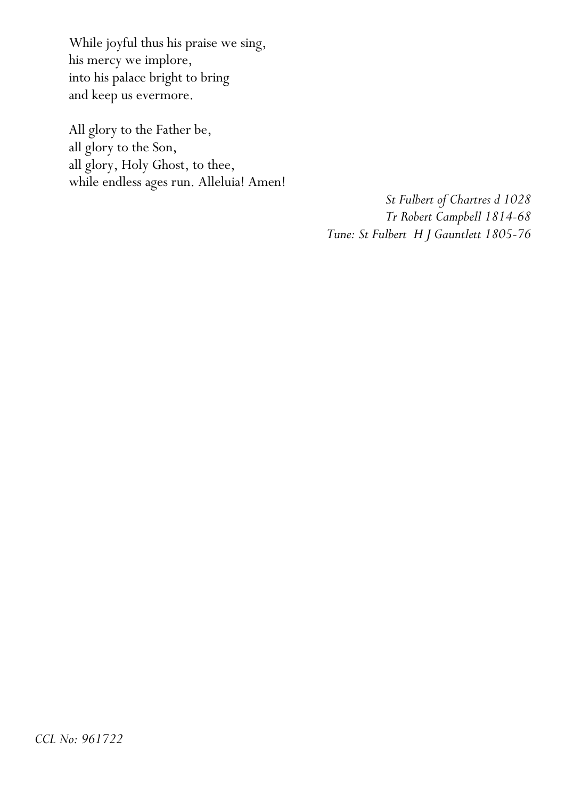While joyful thus his praise we sing, his mercy we implore, into his palace bright to bring and keep us evermore.

All glory to the Father be, all glory to the Son, all glory, Holy Ghost, to thee, while endless ages run. Alleluia! Amen!

> *St Fulbert of Chartres d 1028 Tr Robert Campbell 1814-68 Tune: St Fulbert H J Gauntlett 1805-76*